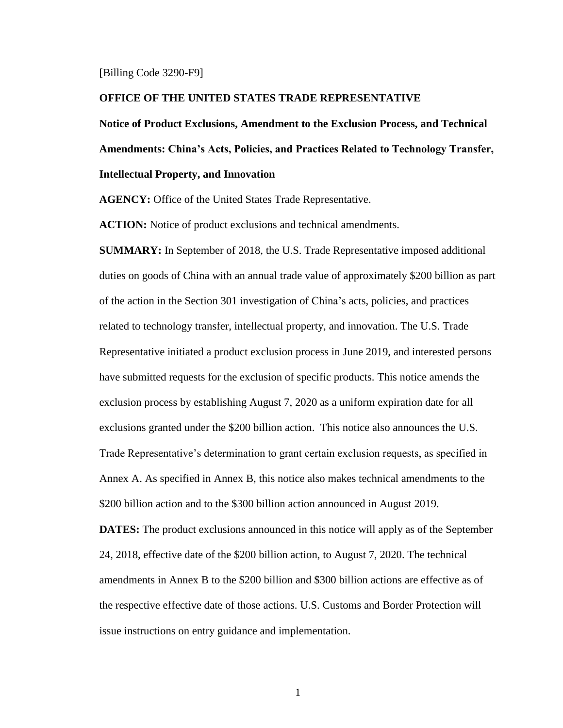#### [Billing Code 3290-F9]

#### **OFFICE OF THE UNITED STATES TRADE REPRESENTATIVE**

**Notice of Product Exclusions, Amendment to the Exclusion Process, and Technical Amendments: China's Acts, Policies, and Practices Related to Technology Transfer, Intellectual Property, and Innovation**

**AGENCY:** Office of the United States Trade Representative.

**ACTION:** Notice of product exclusions and technical amendments.

**SUMMARY:** In September of 2018, the U.S. Trade Representative imposed additional duties on goods of China with an annual trade value of approximately \$200 billion as part of the action in the Section 301 investigation of China's acts, policies, and practices related to technology transfer, intellectual property, and innovation. The U.S. Trade Representative initiated a product exclusion process in June 2019, and interested persons have submitted requests for the exclusion of specific products. This notice amends the exclusion process by establishing August 7, 2020 as a uniform expiration date for all exclusions granted under the \$200 billion action. This notice also announces the U.S. Trade Representative's determination to grant certain exclusion requests, as specified in Annex A. As specified in Annex B, this notice also makes technical amendments to the \$200 billion action and to the \$300 billion action announced in August 2019.

**DATES:** The product exclusions announced in this notice will apply as of the September 24, 2018, effective date of the \$200 billion action, to August 7, 2020. The technical amendments in Annex B to the \$200 billion and \$300 billion actions are effective as of the respective effective date of those actions. U.S. Customs and Border Protection will issue instructions on entry guidance and implementation.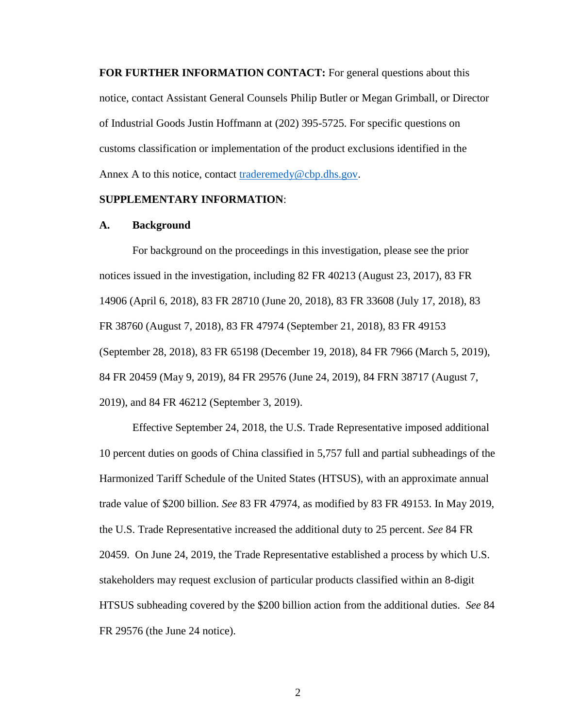**FOR FURTHER INFORMATION CONTACT:** For general questions about this notice, contact Assistant General Counsels Philip Butler or Megan Grimball, or Director of Industrial Goods Justin Hoffmann at (202) 395-5725. For specific questions on customs classification or implementation of the product exclusions identified in the Annex A to this notice, contact [traderemedy@cbp.dhs.gov.](mailto:traderemedy@cbp.dhs.gov)

### **SUPPLEMENTARY INFORMATION**:

#### **A. Background**

For background on the proceedings in this investigation, please see the prior notices issued in the investigation, including 82 FR 40213 (August 23, 2017), 83 FR 14906 (April 6, 2018), 83 FR 28710 (June 20, 2018), 83 FR 33608 (July 17, 2018), 83 FR 38760 (August 7, 2018), 83 FR 47974 (September 21, 2018), 83 FR 49153 (September 28, 2018), 83 FR 65198 (December 19, 2018), 84 FR 7966 (March 5, 2019), 84 FR 20459 (May 9, 2019), 84 FR 29576 (June 24, 2019), 84 FRN 38717 (August 7, 2019), and 84 FR 46212 (September 3, 2019).

Effective September 24, 2018, the U.S. Trade Representative imposed additional 10 percent duties on goods of China classified in 5,757 full and partial subheadings of the Harmonized Tariff Schedule of the United States (HTSUS), with an approximate annual trade value of \$200 billion. *See* 83 FR 47974, as modified by 83 FR 49153. In May 2019, the U.S. Trade Representative increased the additional duty to 25 percent. *See* 84 FR 20459. On June 24, 2019, the Trade Representative established a process by which U.S. stakeholders may request exclusion of particular products classified within an 8-digit HTSUS subheading covered by the \$200 billion action from the additional duties. *See* 84 FR 29576 (the June 24 notice).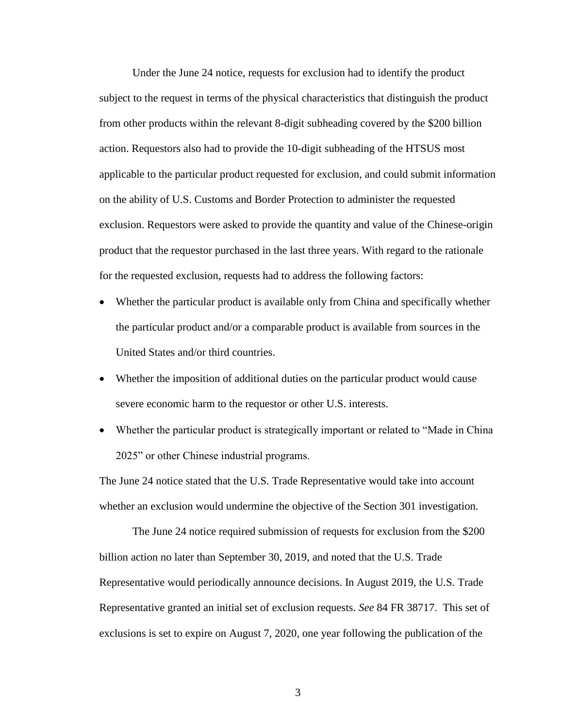Under the June 24 notice, requests for exclusion had to identify the product subject to the request in terms of the physical characteristics that distinguish the product from other products within the relevant 8-digit subheading covered by the \$200 billion action. Requestors also had to provide the 10-digit subheading of the HTSUS most applicable to the particular product requested for exclusion, and could submit information on the ability of U.S. Customs and Border Protection to administer the requested exclusion. Requestors were asked to provide the quantity and value of the Chinese-origin product that the requestor purchased in the last three years. With regard to the rationale for the requested exclusion, requests had to address the following factors:

- Whether the particular product is available only from China and specifically whether the particular product and/or a comparable product is available from sources in the United States and/or third countries.
- Whether the imposition of additional duties on the particular product would cause severe economic harm to the requestor or other U.S. interests.
- Whether the particular product is strategically important or related to "Made in China 2025" or other Chinese industrial programs.

The June 24 notice stated that the U.S. Trade Representative would take into account whether an exclusion would undermine the objective of the Section 301 investigation.

The June 24 notice required submission of requests for exclusion from the \$200 billion action no later than September 30, 2019, and noted that the U.S. Trade Representative would periodically announce decisions. In August 2019, the U.S. Trade Representative granted an initial set of exclusion requests. *See* 84 FR 38717. This set of exclusions is set to expire on August 7, 2020, one year following the publication of the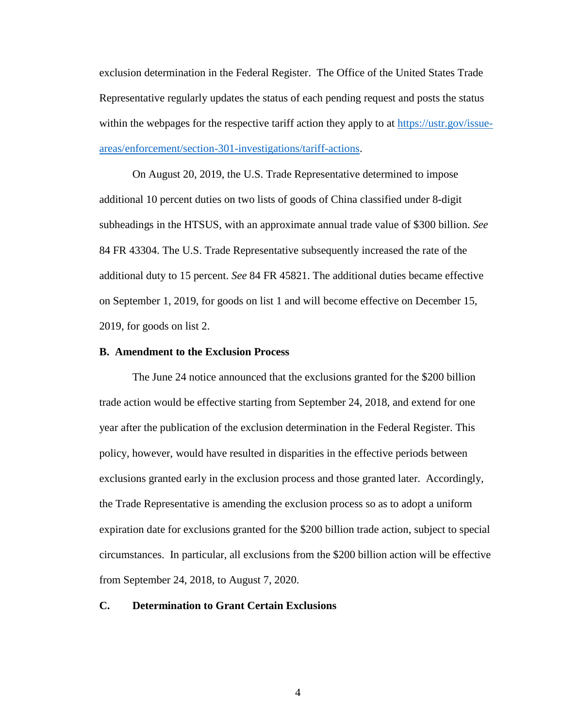exclusion determination in the Federal Register. The Office of the United States Trade Representative regularly updates the status of each pending request and posts the status within the webpages for the respective tariff action they apply to at [https://ustr.gov/issue](https://ustr.gov/issue-areas/enforcement/section-301-investigations/tariff-actions)[areas/enforcement/section-301-investigations/tariff-actions.](https://ustr.gov/issue-areas/enforcement/section-301-investigations/tariff-actions)

On August 20, 2019, the U.S. Trade Representative determined to impose additional 10 percent duties on two lists of goods of China classified under 8-digit subheadings in the HTSUS, with an approximate annual trade value of \$300 billion. *See* 84 FR 43304. The U.S. Trade Representative subsequently increased the rate of the additional duty to 15 percent. *See* 84 FR 45821. The additional duties became effective on September 1, 2019, for goods on list 1 and will become effective on December 15, 2019, for goods on list 2.

#### **B. Amendment to the Exclusion Process**

The June 24 notice announced that the exclusions granted for the \$200 billion trade action would be effective starting from September 24, 2018, and extend for one year after the publication of the exclusion determination in the Federal Register. This policy, however, would have resulted in disparities in the effective periods between exclusions granted early in the exclusion process and those granted later. Accordingly, the Trade Representative is amending the exclusion process so as to adopt a uniform expiration date for exclusions granted for the \$200 billion trade action, subject to special circumstances. In particular, all exclusions from the \$200 billion action will be effective from September 24, 2018, to August 7, 2020.

# **C. Determination to Grant Certain Exclusions**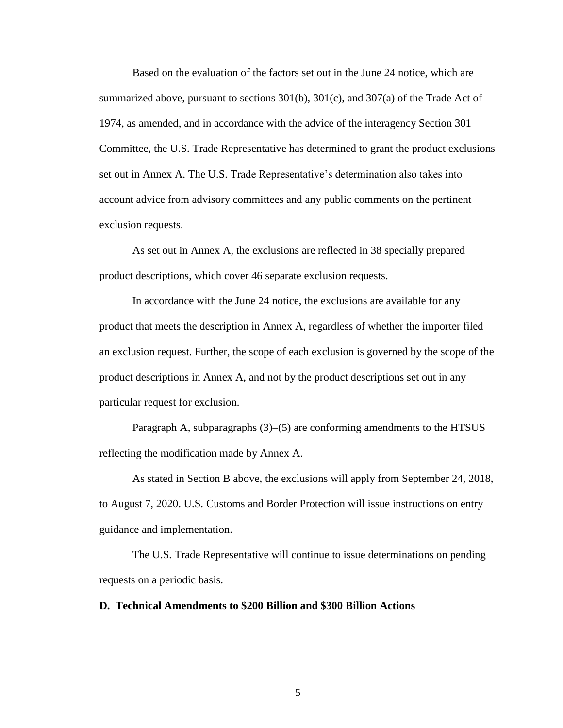Based on the evaluation of the factors set out in the June 24 notice, which are summarized above, pursuant to sections 301(b), 301(c), and 307(a) of the Trade Act of 1974, as amended, and in accordance with the advice of the interagency Section 301 Committee, the U.S. Trade Representative has determined to grant the product exclusions set out in Annex A. The U.S. Trade Representative's determination also takes into account advice from advisory committees and any public comments on the pertinent exclusion requests.

As set out in Annex A, the exclusions are reflected in 38 specially prepared product descriptions, which cover 46 separate exclusion requests.

In accordance with the June 24 notice, the exclusions are available for any product that meets the description in Annex A, regardless of whether the importer filed an exclusion request. Further, the scope of each exclusion is governed by the scope of the product descriptions in Annex A, and not by the product descriptions set out in any particular request for exclusion.

Paragraph A, subparagraphs (3)–(5) are conforming amendments to the HTSUS reflecting the modification made by Annex A.

As stated in Section B above, the exclusions will apply from September 24, 2018, to August 7, 2020. U.S. Customs and Border Protection will issue instructions on entry guidance and implementation.

The U.S. Trade Representative will continue to issue determinations on pending requests on a periodic basis.

### **D. Technical Amendments to \$200 Billion and \$300 Billion Actions**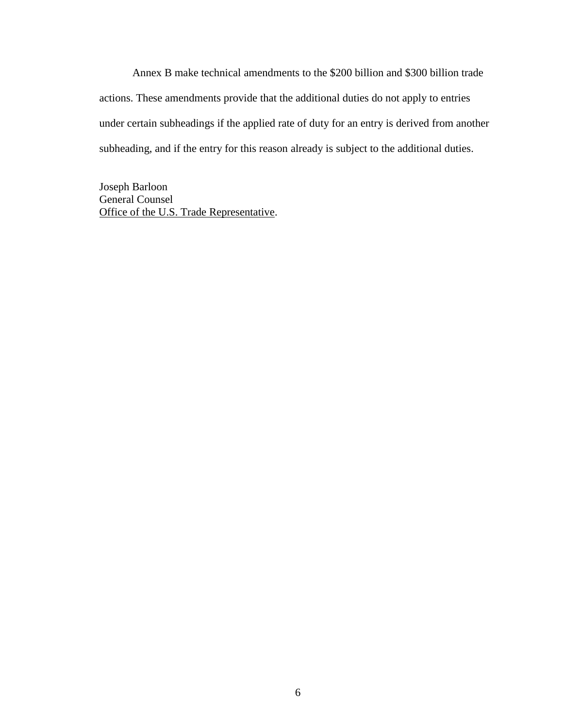Annex B make technical amendments to the \$200 billion and \$300 billion trade actions. These amendments provide that the additional duties do not apply to entries under certain subheadings if the applied rate of duty for an entry is derived from another subheading, and if the entry for this reason already is subject to the additional duties.

Joseph Barloon General Counsel Office of the U.S. Trade Representative.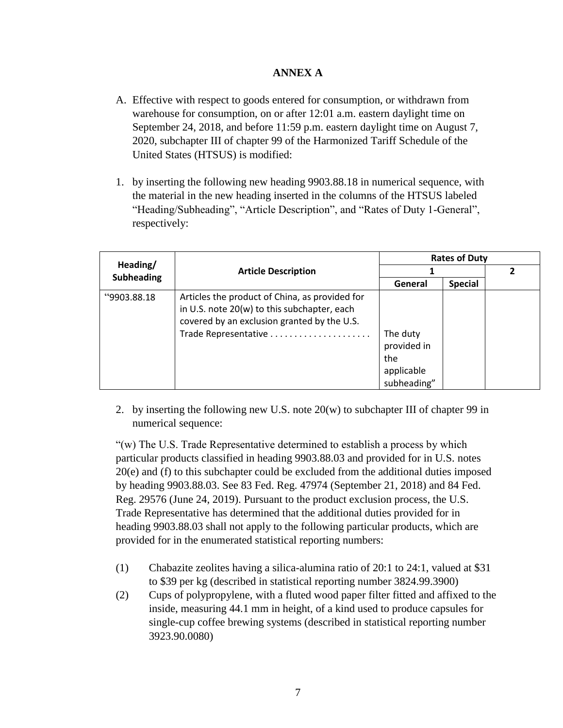# **ANNEX A**

- A. Effective with respect to goods entered for consumption, or withdrawn from warehouse for consumption, on or after 12:01 a.m. eastern daylight time on September 24, 2018, and before 11:59 p.m. eastern daylight time on August 7, 2020, subchapter III of chapter 99 of the Harmonized Tariff Schedule of the United States (HTSUS) is modified:
- 1. by inserting the following new heading 9903.88.18 in numerical sequence, with the material in the new heading inserted in the columns of the HTSUS labeled "Heading/Subheading", "Article Description", and "Rates of Duty 1-General", respectively:

| Heading/<br><b>Subheading</b> | <b>Article Description</b>                     | <b>Rates of Duty</b> |                |  |
|-------------------------------|------------------------------------------------|----------------------|----------------|--|
|                               |                                                |                      |                |  |
|                               |                                                | General              | <b>Special</b> |  |
| "9903.88.18                   | Articles the product of China, as provided for |                      |                |  |
|                               | in U.S. note 20(w) to this subchapter, each    |                      |                |  |
|                               | covered by an exclusion granted by the U.S.    |                      |                |  |
|                               | Trade Representative                           | The duty             |                |  |
|                               |                                                | provided in          |                |  |
|                               |                                                | the                  |                |  |
|                               |                                                | applicable           |                |  |
|                               |                                                | subheading"          |                |  |

2. by inserting the following new U.S. note 20(w) to subchapter III of chapter 99 in numerical sequence:

"(w) The U.S. Trade Representative determined to establish a process by which particular products classified in heading 9903.88.03 and provided for in U.S. notes 20(e) and (f) to this subchapter could be excluded from the additional duties imposed by heading 9903.88.03. See 83 Fed. Reg. 47974 (September 21, 2018) and 84 Fed. Reg. 29576 (June 24, 2019). Pursuant to the product exclusion process, the U.S. Trade Representative has determined that the additional duties provided for in heading 9903.88.03 shall not apply to the following particular products, which are provided for in the enumerated statistical reporting numbers:

- (1) Chabazite zeolites having a silica-alumina ratio of 20:1 to 24:1, valued at \$31 to \$39 per kg (described in statistical reporting number 3824.99.3900)
- (2) Cups of polypropylene, with a fluted wood paper filter fitted and affixed to the inside, measuring 44.1 mm in height, of a kind used to produce capsules for single-cup coffee brewing systems (described in statistical reporting number 3923.90.0080)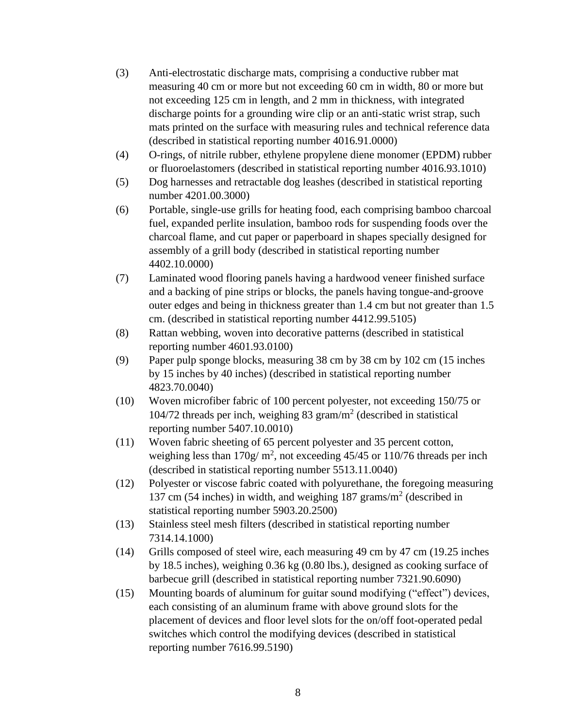- (3) Anti-electrostatic discharge mats, comprising a conductive rubber mat measuring 40 cm or more but not exceeding 60 cm in width, 80 or more but not exceeding 125 cm in length, and 2 mm in thickness, with integrated discharge points for a grounding wire clip or an anti-static wrist strap, such mats printed on the surface with measuring rules and technical reference data (described in statistical reporting number 4016.91.0000)
- (4) O-rings, of nitrile rubber, ethylene propylene diene monomer (EPDM) rubber or fluoroelastomers (described in statistical reporting number 4016.93.1010)
- (5) Dog harnesses and retractable dog leashes (described in statistical reporting number 4201.00.3000)
- (6) Portable, single-use grills for heating food, each comprising bamboo charcoal fuel, expanded perlite insulation, bamboo rods for suspending foods over the charcoal flame, and cut paper or paperboard in shapes specially designed for assembly of a grill body (described in statistical reporting number 4402.10.0000)
- (7) Laminated wood flooring panels having a hardwood veneer finished surface and a backing of pine strips or blocks, the panels having tongue-and-groove outer edges and being in thickness greater than 1.4 cm but not greater than 1.5 cm. (described in statistical reporting number 4412.99.5105)
- (8) Rattan webbing, woven into decorative patterns (described in statistical reporting number 4601.93.0100)
- (9) Paper pulp sponge blocks, measuring 38 cm by 38 cm by 102 cm (15 inches by 15 inches by 40 inches) (described in statistical reporting number 4823.70.0040)
- (10) Woven microfiber fabric of 100 percent polyester, not exceeding 150/75 or  $104/72$  threads per inch, weighing 83 gram/m<sup>2</sup> (described in statistical reporting number 5407.10.0010)
- (11) Woven fabric sheeting of 65 percent polyester and 35 percent cotton, weighing less than  $170g/m^2$ , not exceeding 45/45 or 110/76 threads per inch (described in statistical reporting number 5513.11.0040)
- (12) Polyester or viscose fabric coated with polyurethane, the foregoing measuring 137 cm (54 inches) in width, and weighing 187 grams/m<sup>2</sup> (described in statistical reporting number 5903.20.2500)
- (13) Stainless steel mesh filters (described in statistical reporting number 7314.14.1000)
- (14) Grills composed of steel wire, each measuring 49 cm by 47 cm (19.25 inches by 18.5 inches), weighing 0.36 kg (0.80 lbs.), designed as cooking surface of barbecue grill (described in statistical reporting number 7321.90.6090)
- (15) Mounting boards of aluminum for guitar sound modifying ("effect") devices, each consisting of an aluminum frame with above ground slots for the placement of devices and floor level slots for the on/off foot-operated pedal switches which control the modifying devices (described in statistical reporting number 7616.99.5190)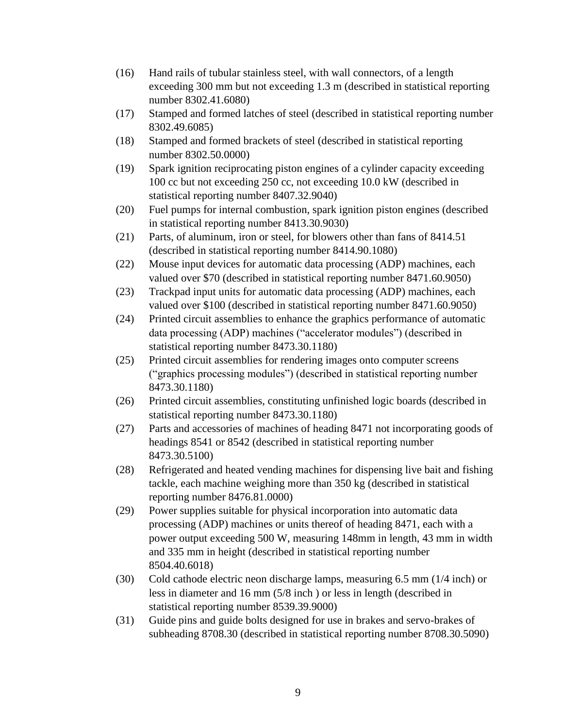- (16) Hand rails of tubular stainless steel, with wall connectors, of a length exceeding 300 mm but not exceeding 1.3 m (described in statistical reporting number 8302.41.6080)
- (17) Stamped and formed latches of steel (described in statistical reporting number 8302.49.6085)
- (18) Stamped and formed brackets of steel (described in statistical reporting number 8302.50.0000)
- (19) Spark ignition reciprocating piston engines of a cylinder capacity exceeding 100 cc but not exceeding 250 cc, not exceeding 10.0 kW (described in statistical reporting number 8407.32.9040)
- (20) Fuel pumps for internal combustion, spark ignition piston engines (described in statistical reporting number 8413.30.9030)
- (21) Parts, of aluminum, iron or steel, for blowers other than fans of 8414.51 (described in statistical reporting number 8414.90.1080)
- (22) Mouse input devices for automatic data processing (ADP) machines, each valued over \$70 (described in statistical reporting number 8471.60.9050)
- (23) Trackpad input units for automatic data processing (ADP) machines, each valued over \$100 (described in statistical reporting number 8471.60.9050)
- (24) Printed circuit assemblies to enhance the graphics performance of automatic data processing (ADP) machines ("accelerator modules") (described in statistical reporting number 8473.30.1180)
- (25) Printed circuit assemblies for rendering images onto computer screens ("graphics processing modules") (described in statistical reporting number 8473.30.1180)
- (26) Printed circuit assemblies, constituting unfinished logic boards (described in statistical reporting number 8473.30.1180)
- (27) Parts and accessories of machines of heading 8471 not incorporating goods of headings 8541 or 8542 (described in statistical reporting number 8473.30.5100)
- (28) Refrigerated and heated vending machines for dispensing live bait and fishing tackle, each machine weighing more than 350 kg (described in statistical reporting number 8476.81.0000)
- (29) Power supplies suitable for physical incorporation into automatic data processing (ADP) machines or units thereof of heading 8471, each with a power output exceeding 500 W, measuring 148mm in length, 43 mm in width and 335 mm in height (described in statistical reporting number 8504.40.6018)
- (30) Cold cathode electric neon discharge lamps, measuring 6.5 mm (1/4 inch) or less in diameter and 16 mm (5/8 inch ) or less in length (described in statistical reporting number 8539.39.9000)
- (31) Guide pins and guide bolts designed for use in brakes and servo-brakes of subheading 8708.30 (described in statistical reporting number 8708.30.5090)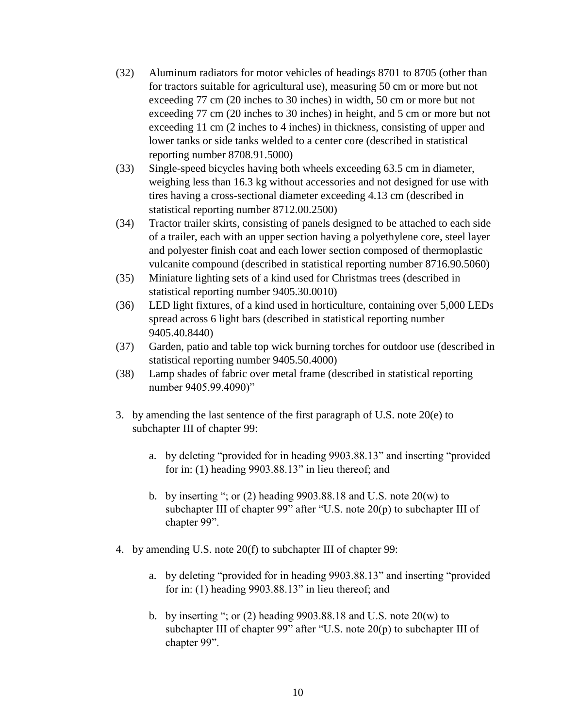- (32) Aluminum radiators for motor vehicles of headings 8701 to 8705 (other than for tractors suitable for agricultural use), measuring 50 cm or more but not exceeding 77 cm (20 inches to 30 inches) in width, 50 cm or more but not exceeding 77 cm (20 inches to 30 inches) in height, and 5 cm or more but not exceeding 11 cm (2 inches to 4 inches) in thickness, consisting of upper and lower tanks or side tanks welded to a center core (described in statistical reporting number 8708.91.5000)
- (33) Single-speed bicycles having both wheels exceeding 63.5 cm in diameter, weighing less than 16.3 kg without accessories and not designed for use with tires having a cross-sectional diameter exceeding 4.13 cm (described in statistical reporting number 8712.00.2500)
- (34) Tractor trailer skirts, consisting of panels designed to be attached to each side of a trailer, each with an upper section having a polyethylene core, steel layer and polyester finish coat and each lower section composed of thermoplastic vulcanite compound (described in statistical reporting number 8716.90.5060)
- (35) Miniature lighting sets of a kind used for Christmas trees (described in statistical reporting number 9405.30.0010)
- (36) LED light fixtures, of a kind used in horticulture, containing over 5,000 LEDs spread across 6 light bars (described in statistical reporting number 9405.40.8440)
- (37) Garden, patio and table top wick burning torches for outdoor use (described in statistical reporting number 9405.50.4000)
- (38) Lamp shades of fabric over metal frame (described in statistical reporting number 9405.99.4090)"
- 3. by amending the last sentence of the first paragraph of U.S. note 20(e) to subchapter III of chapter 99:
	- a. by deleting "provided for in heading 9903.88.13" and inserting "provided for in: (1) heading 9903.88.13" in lieu thereof; and
	- b. by inserting "; or (2) heading  $9903.88.18$  and U.S. note  $20(w)$  to subchapter III of chapter 99" after "U.S. note 20(p) to subchapter III of chapter 99".
- 4. by amending U.S. note 20(f) to subchapter III of chapter 99:
	- a. by deleting "provided for in heading 9903.88.13" and inserting "provided for in: (1) heading 9903.88.13" in lieu thereof; and
	- b. by inserting "; or (2) heading 9903.88.18 and U.S. note 20(w) to subchapter III of chapter 99" after "U.S. note 20(p) to subchapter III of chapter 99".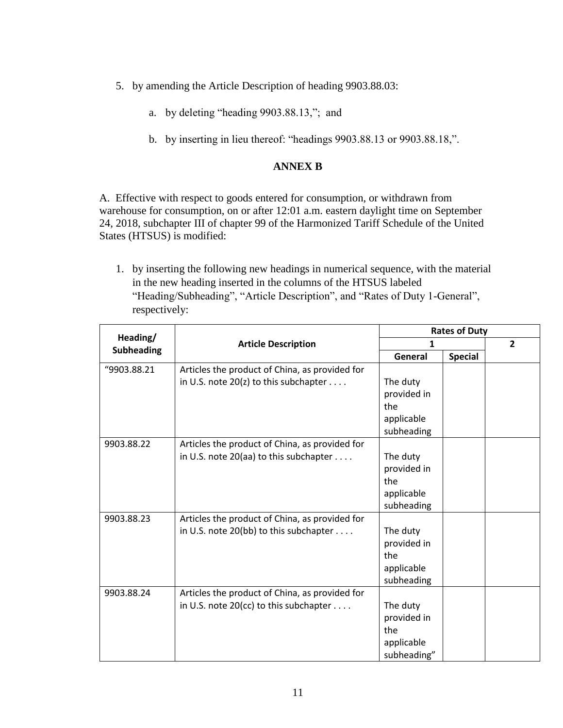- 5. by amending the Article Description of heading 9903.88.03:
	- a. by deleting "heading 9903.88.13,"; and
	- b. by inserting in lieu thereof: "headings 9903.88.13 or 9903.88.18,".

## **ANNEX B**

A. Effective with respect to goods entered for consumption, or withdrawn from warehouse for consumption, on or after 12:01 a.m. eastern daylight time on September 24, 2018, subchapter III of chapter 99 of the Harmonized Tariff Schedule of the United States (HTSUS) is modified:

1. by inserting the following new headings in numerical sequence, with the material in the new heading inserted in the columns of the HTSUS labeled "Heading/Subheading", "Article Description", and "Rates of Duty 1-General", respectively:

| Heading/<br><b>Subheading</b> | <b>Article Description</b>                     | <b>Rates of Duty</b> |                |                |
|-------------------------------|------------------------------------------------|----------------------|----------------|----------------|
|                               |                                                | 1                    |                | $\overline{2}$ |
|                               |                                                | General              | <b>Special</b> |                |
| "9903.88.21                   | Articles the product of China, as provided for |                      |                |                |
|                               | in U.S. note $20(z)$ to this subchapter        | The duty             |                |                |
|                               |                                                | provided in          |                |                |
|                               |                                                | the                  |                |                |
|                               |                                                | applicable           |                |                |
|                               |                                                | subheading           |                |                |
| 9903.88.22                    | Articles the product of China, as provided for |                      |                |                |
|                               | in U.S. note 20(aa) to this subchapter         | The duty             |                |                |
|                               |                                                | provided in          |                |                |
|                               |                                                | the                  |                |                |
|                               |                                                | applicable           |                |                |
|                               |                                                | subheading           |                |                |
| 9903.88.23                    | Articles the product of China, as provided for |                      |                |                |
|                               | in U.S. note 20(bb) to this subchapter         | The duty             |                |                |
|                               |                                                | provided in          |                |                |
|                               |                                                | the                  |                |                |
|                               |                                                | applicable           |                |                |
|                               |                                                | subheading           |                |                |
| 9903.88.24                    | Articles the product of China, as provided for |                      |                |                |
|                               | in U.S. note 20(cc) to this subchapter $\dots$ | The duty             |                |                |
|                               |                                                | provided in          |                |                |
|                               |                                                | the                  |                |                |
|                               |                                                | applicable           |                |                |
|                               |                                                | subheading"          |                |                |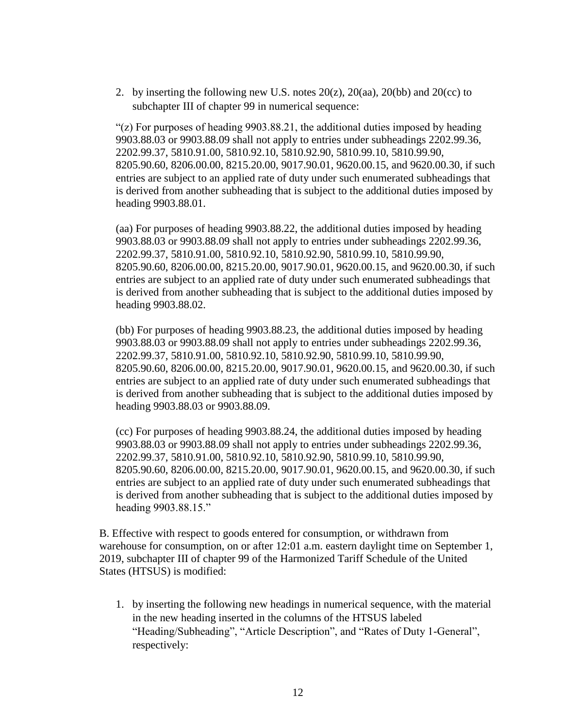2. by inserting the following new U.S. notes  $20(z)$ ,  $20(aa)$ ,  $20(bb)$  and  $20(ce)$  to subchapter III of chapter 99 in numerical sequence:

"(z) For purposes of heading 9903.88.21, the additional duties imposed by heading 9903.88.03 or 9903.88.09 shall not apply to entries under subheadings 2202.99.36, 2202.99.37, 5810.91.00, 5810.92.10, 5810.92.90, 5810.99.10, 5810.99.90, 8205.90.60, 8206.00.00, 8215.20.00, 9017.90.01, 9620.00.15, and 9620.00.30, if such entries are subject to an applied rate of duty under such enumerated subheadings that is derived from another subheading that is subject to the additional duties imposed by heading 9903.88.01.

(aa) For purposes of heading 9903.88.22, the additional duties imposed by heading 9903.88.03 or 9903.88.09 shall not apply to entries under subheadings 2202.99.36, 2202.99.37, 5810.91.00, 5810.92.10, 5810.92.90, 5810.99.10, 5810.99.90, 8205.90.60, 8206.00.00, 8215.20.00, 9017.90.01, 9620.00.15, and 9620.00.30, if such entries are subject to an applied rate of duty under such enumerated subheadings that is derived from another subheading that is subject to the additional duties imposed by heading 9903.88.02.

(bb) For purposes of heading 9903.88.23, the additional duties imposed by heading 9903.88.03 or 9903.88.09 shall not apply to entries under subheadings 2202.99.36, 2202.99.37, 5810.91.00, 5810.92.10, 5810.92.90, 5810.99.10, 5810.99.90, 8205.90.60, 8206.00.00, 8215.20.00, 9017.90.01, 9620.00.15, and 9620.00.30, if such entries are subject to an applied rate of duty under such enumerated subheadings that is derived from another subheading that is subject to the additional duties imposed by heading 9903.88.03 or 9903.88.09.

(cc) For purposes of heading 9903.88.24, the additional duties imposed by heading 9903.88.03 or 9903.88.09 shall not apply to entries under subheadings 2202.99.36, 2202.99.37, 5810.91.00, 5810.92.10, 5810.92.90, 5810.99.10, 5810.99.90, 8205.90.60, 8206.00.00, 8215.20.00, 9017.90.01, 9620.00.15, and 9620.00.30, if such entries are subject to an applied rate of duty under such enumerated subheadings that is derived from another subheading that is subject to the additional duties imposed by heading 9903.88.15."

B. Effective with respect to goods entered for consumption, or withdrawn from warehouse for consumption, on or after 12:01 a.m. eastern daylight time on September 1, 2019, subchapter III of chapter 99 of the Harmonized Tariff Schedule of the United States (HTSUS) is modified:

1. by inserting the following new headings in numerical sequence, with the material in the new heading inserted in the columns of the HTSUS labeled "Heading/Subheading", "Article Description", and "Rates of Duty 1-General", respectively: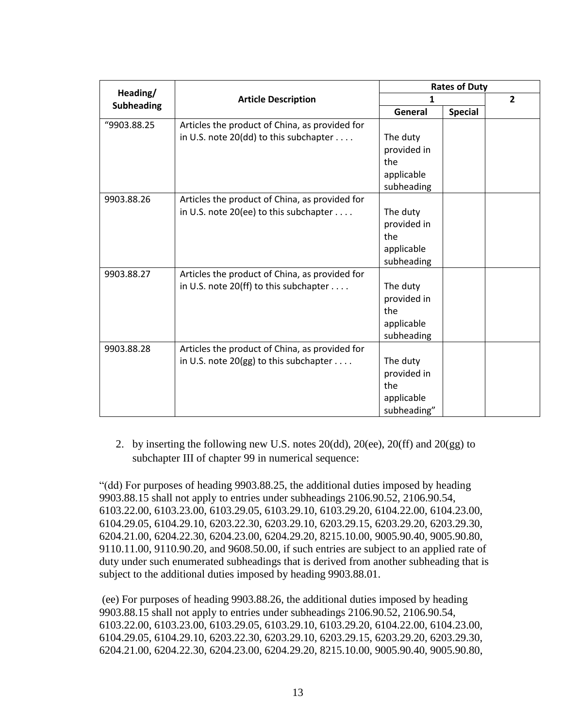| Heading/<br><b>Subheading</b> | <b>Article Description</b>                     | <b>Rates of Duty</b> |                |                |
|-------------------------------|------------------------------------------------|----------------------|----------------|----------------|
|                               |                                                | $\mathbf{1}$         |                | $\overline{2}$ |
|                               |                                                | General              | <b>Special</b> |                |
| "9903.88.25                   | Articles the product of China, as provided for |                      |                |                |
|                               | in U.S. note 20(dd) to this subchapter $\dots$ | The duty             |                |                |
|                               |                                                | provided in          |                |                |
|                               |                                                | the                  |                |                |
|                               |                                                | applicable           |                |                |
|                               |                                                | subheading           |                |                |
| 9903.88.26                    | Articles the product of China, as provided for |                      |                |                |
|                               | in U.S. note 20(ee) to this subchapter         | The duty             |                |                |
|                               |                                                | provided in          |                |                |
|                               |                                                | the                  |                |                |
|                               |                                                | applicable           |                |                |
|                               |                                                | subheading           |                |                |
| 9903.88.27                    | Articles the product of China, as provided for |                      |                |                |
|                               | in U.S. note 20(ff) to this subchapter         | The duty             |                |                |
|                               |                                                | provided in          |                |                |
|                               |                                                | the                  |                |                |
|                               |                                                | applicable           |                |                |
|                               |                                                | subheading           |                |                |
| 9903.88.28                    | Articles the product of China, as provided for |                      |                |                |
|                               | in U.S. note $20(gg)$ to this subchapter       | The duty             |                |                |
|                               |                                                | provided in          |                |                |
|                               |                                                | the                  |                |                |
|                               |                                                | applicable           |                |                |
|                               |                                                | subheading"          |                |                |

## 2. by inserting the following new U.S. notes  $20(\text{dd})$ ,  $20(\text{ee})$ ,  $20(\text{ff})$  and  $20(\text{gg})$  to subchapter III of chapter 99 in numerical sequence:

"(dd) For purposes of heading 9903.88.25, the additional duties imposed by heading 9903.88.15 shall not apply to entries under subheadings 2106.90.52, 2106.90.54, 6103.22.00, 6103.23.00, 6103.29.05, 6103.29.10, 6103.29.20, 6104.22.00, 6104.23.00, 6104.29.05, 6104.29.10, 6203.22.30, 6203.29.10, 6203.29.15, 6203.29.20, 6203.29.30, 6204.21.00, 6204.22.30, 6204.23.00, 6204.29.20, 8215.10.00, 9005.90.40, 9005.90.80, 9110.11.00, 9110.90.20, and 9608.50.00, if such entries are subject to an applied rate of duty under such enumerated subheadings that is derived from another subheading that is subject to the additional duties imposed by heading 9903.88.01.

(ee) For purposes of heading 9903.88.26, the additional duties imposed by heading 9903.88.15 shall not apply to entries under subheadings 2106.90.52, 2106.90.54, 6103.22.00, 6103.23.00, 6103.29.05, 6103.29.10, 6103.29.20, 6104.22.00, 6104.23.00, 6104.29.05, 6104.29.10, 6203.22.30, 6203.29.10, 6203.29.15, 6203.29.20, 6203.29.30, 6204.21.00, 6204.22.30, 6204.23.00, 6204.29.20, 8215.10.00, 9005.90.40, 9005.90.80,